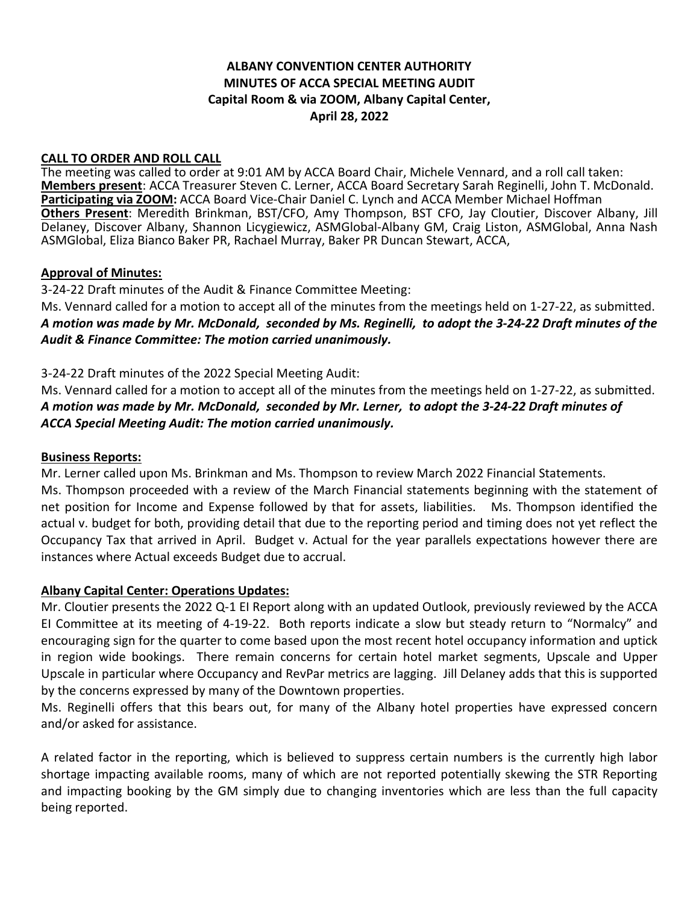# **ALBANY CONVENTION CENTER AUTHORITY MINUTES OF ACCA SPECIAL MEETING AUDIT Capital Room & via ZOOM, Albany Capital Center, April 28, 2022**

#### **CALL TO ORDER AND ROLL CALL**

The meeting was called to order at 9:01 AM by ACCA Board Chair, Michele Vennard, and a roll call taken: **Members present**: ACCA Treasurer Steven C. Lerner, ACCA Board Secretary Sarah Reginelli, John T. McDonald. **Participating via ZOOM:** ACCA Board Vice-Chair Daniel C. Lynch and ACCA Member Michael Hoffman **Others Present**: Meredith Brinkman, BST/CFO, Amy Thompson, BST CFO, Jay Cloutier, Discover Albany, Jill Delaney, Discover Albany, Shannon Licygiewicz, ASMGlobal-Albany GM, Craig Liston, ASMGlobal, Anna Nash ASMGlobal, Eliza Bianco Baker PR, Rachael Murray, Baker PR Duncan Stewart, ACCA,

#### **Approval of Minutes:**

3-24-22 Draft minutes of the Audit & Finance Committee Meeting:

Ms. Vennard called for a motion to accept all of the minutes from the meetings held on 1-27-22, as submitted. *A motion was made by Mr. McDonald, seconded by Ms. Reginelli, to adopt the 3-24-22 Draft minutes of the Audit & Finance Committee: The motion carried unanimously.*

3-24-22 Draft minutes of the 2022 Special Meeting Audit:

Ms. Vennard called for a motion to accept all of the minutes from the meetings held on 1-27-22, as submitted. *A motion was made by Mr. McDonald, seconded by Mr. Lerner, to adopt the 3-24-22 Draft minutes of ACCA Special Meeting Audit: The motion carried unanimously.*

#### **Business Reports:**

Mr. Lerner called upon Ms. Brinkman and Ms. Thompson to review March 2022 Financial Statements.

Ms. Thompson proceeded with a review of the March Financial statements beginning with the statement of net position for Income and Expense followed by that for assets, liabilities. Ms. Thompson identified the actual v. budget for both, providing detail that due to the reporting period and timing does not yet reflect the Occupancy Tax that arrived in April. Budget v. Actual for the year parallels expectations however there are instances where Actual exceeds Budget due to accrual.

### **Albany Capital Center: Operations Updates:**

Mr. Cloutier presents the 2022 Q-1 EI Report along with an updated Outlook, previously reviewed by the ACCA EI Committee at its meeting of 4-19-22. Both reports indicate a slow but steady return to "Normalcy" and encouraging sign for the quarter to come based upon the most recent hotel occupancy information and uptick in region wide bookings. There remain concerns for certain hotel market segments, Upscale and Upper Upscale in particular where Occupancy and RevPar metrics are lagging. Jill Delaney adds that this is supported by the concerns expressed by many of the Downtown properties.

Ms. Reginelli offers that this bears out, for many of the Albany hotel properties have expressed concern and/or asked for assistance.

A related factor in the reporting, which is believed to suppress certain numbers is the currently high labor shortage impacting available rooms, many of which are not reported potentially skewing the STR Reporting and impacting booking by the GM simply due to changing inventories which are less than the full capacity being reported.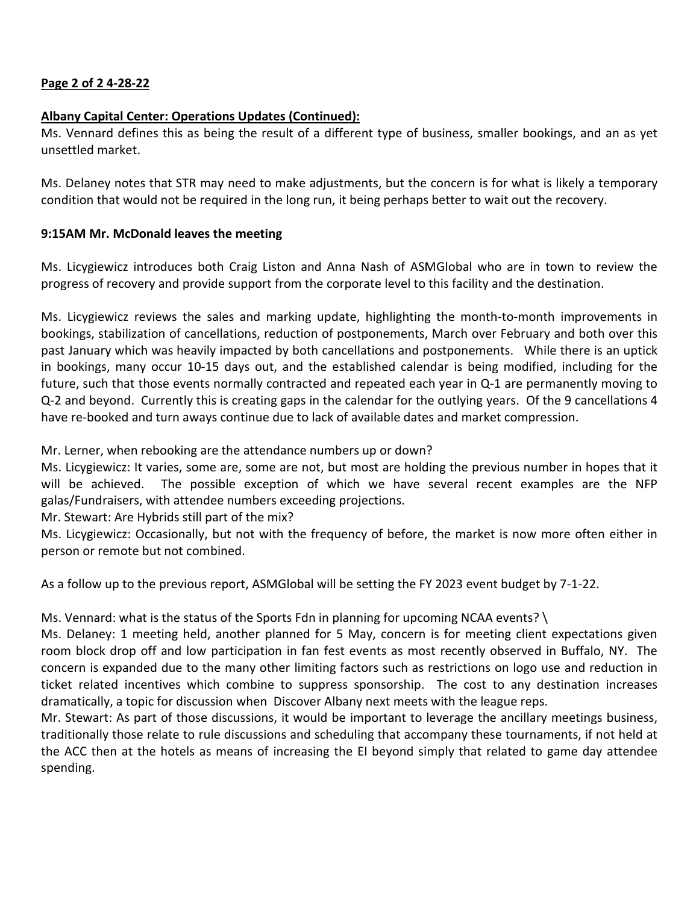# **Page 2 of 2 4-28-22**

## **Albany Capital Center: Operations Updates (Continued):**

Ms. Vennard defines this as being the result of a different type of business, smaller bookings, and an as yet unsettled market.

Ms. Delaney notes that STR may need to make adjustments, but the concern is for what is likely a temporary condition that would not be required in the long run, it being perhaps better to wait out the recovery.

### **9:15AM Mr. McDonald leaves the meeting**

Ms. Licygiewicz introduces both Craig Liston and Anna Nash of ASMGlobal who are in town to review the progress of recovery and provide support from the corporate level to this facility and the destination.

Ms. Licygiewicz reviews the sales and marking update, highlighting the month-to-month improvements in bookings, stabilization of cancellations, reduction of postponements, March over February and both over this past January which was heavily impacted by both cancellations and postponements. While there is an uptick in bookings, many occur 10-15 days out, and the established calendar is being modified, including for the future, such that those events normally contracted and repeated each year in Q-1 are permanently moving to Q-2 and beyond. Currently this is creating gaps in the calendar for the outlying years. Of the 9 cancellations 4 have re-booked and turn aways continue due to lack of available dates and market compression.

Mr. Lerner, when rebooking are the attendance numbers up or down?

Ms. Licygiewicz: It varies, some are, some are not, but most are holding the previous number in hopes that it will be achieved. The possible exception of which we have several recent examples are the NFP galas/Fundraisers, with attendee numbers exceeding projections.

Mr. Stewart: Are Hybrids still part of the mix?

Ms. Licygiewicz: Occasionally, but not with the frequency of before, the market is now more often either in person or remote but not combined.

As a follow up to the previous report, ASMGlobal will be setting the FY 2023 event budget by 7-1-22.

Ms. Vennard: what is the status of the Sports Fdn in planning for upcoming NCAA events? \

Ms. Delaney: 1 meeting held, another planned for 5 May, concern is for meeting client expectations given room block drop off and low participation in fan fest events as most recently observed in Buffalo, NY. The concern is expanded due to the many other limiting factors such as restrictions on logo use and reduction in ticket related incentives which combine to suppress sponsorship. The cost to any destination increases dramatically, a topic for discussion when Discover Albany next meets with the league reps.

Mr. Stewart: As part of those discussions, it would be important to leverage the ancillary meetings business, traditionally those relate to rule discussions and scheduling that accompany these tournaments, if not held at the ACC then at the hotels as means of increasing the EI beyond simply that related to game day attendee spending.